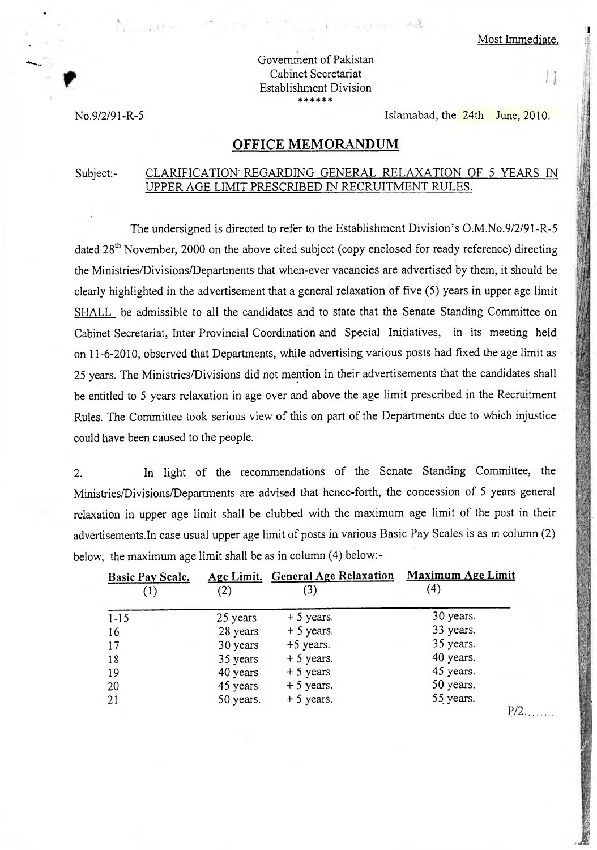## Government of Pakistan Cabinet Secretariat Establishment Division

No.9/2/91-R-5 Islamabad, the 24th June, 2010.

## **OFFICE MEMORANDUM**

## Subject:- CLARIFICATION REGARDING GENERAL RELAXATION OF 5 YEARS IN UPPER AGE LIMIT PRESCRIBED IN RECRUITMENT RULES.

The undersigned is directed to refer to the Establishment Division's 0.M.No.9/2/91-R-5 dated  $28<sup>th</sup>$  November, 2000 on the above cited subject (copy enclosed for ready reference) directing the Ministries/Divisions/Departments that when-ever vacancies are advertised by them, it should be clearly highlighted in the advertisement that a general relaxation of five (5) years in upper age limit SHALL be admissible to all the candidates and to state that the Senate Standing Committee on Cabinet Secretariat, Inter Provincial Coordination and Special Initiatives, in its meeting held on **11-6-2010,** observed that Departments, while advertising various posts had fixed the age limit as 25 years. The Ministries/Divisions did not mention in their advertisements that the candidates shall be entitled to 5 years relaxation in age over and above the age limit prescribed in the Recruitment Rules. The Committee took serious view of this on part of the Departments due to which injustice could have been caused to the people.

2. In light of the recommendations of the Senate Standing Committee, the Ministries/Divisions/Departments are advised that hence-forth, the concession of 5 years general relaxation in upper age limit shall be clubbed with the maximum age limit of the post in their advertisements.In case usual upper age limit of posts in various Basic Pay Scales is as in column (2) below, the maximum age limit shall be as in column (4) below:-

| Basic Pay Scale. |           | Age Limit. General Age Relaxation | <b>Maximum Age Limit</b> |
|------------------|-----------|-----------------------------------|--------------------------|
| $\left(1\right)$ | $\rm(2)$  | (3)                               | '4)                      |
| $1 - 15$         | 25 years  | $+5$ years.                       | 30 years.                |
| 16               | 28 years  | $+5$ years.                       | 33 years.                |
| 17               | 30 years  | $+5$ years.                       | 35 years.                |
| 18               | 35 years  | $+5$ years.                       | 40 years.                |
| 19               | 40 years  | $+5$ years                        | 45 years.                |
| 20               | 45 years  | $+5$ years.                       | 50 years.                |
| 21               | 50 years. | $+5$ years.                       | 55 years.                |
|                  |           |                                   | $P/2$                    |

 $\mathbf{||}$ 

Ittet1 cri\*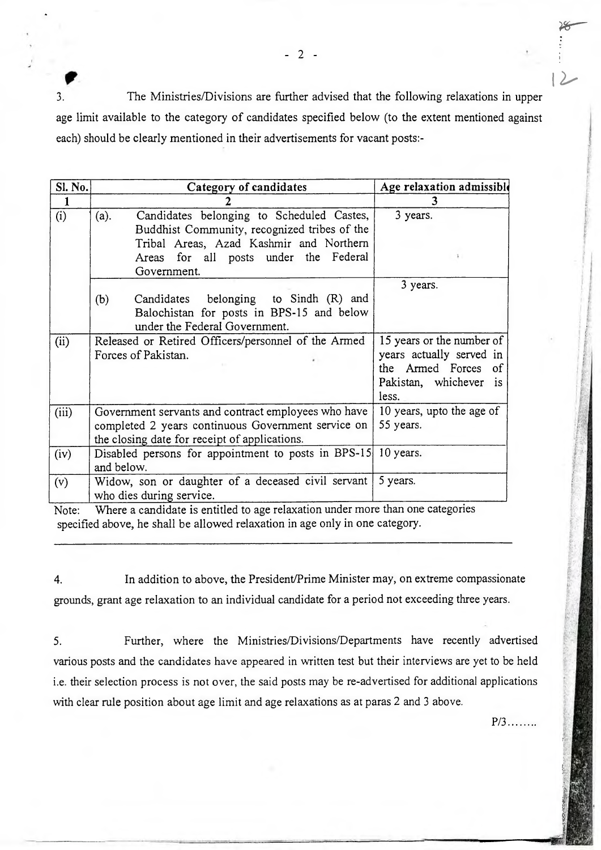3. The Ministries/Divisions are further advised that the following relaxations in upper age limit available to the category of candidates specified below (to the extent mentioned against each) should be clearly mentioned in their advertisements for vacant posts:-

| Sl. No.      | Category of candidates                                                                                                                                     | Age relaxation admissible                                                                                       |
|--------------|------------------------------------------------------------------------------------------------------------------------------------------------------------|-----------------------------------------------------------------------------------------------------------------|
| $\mathbf{1}$ |                                                                                                                                                            | 3                                                                                                               |
| (i)          | Candidates belonging to Scheduled Castes,<br>(a).<br>Buddhist Community, recognized tribes of the<br>Tribal Areas, Azad Kashmir and Northern               | 3 years.                                                                                                        |
|              | Areas for all posts under the Federal<br>Government.                                                                                                       |                                                                                                                 |
|              | Candidates belonging to Sindh (R) and<br>(b)<br>Balochistan for posts in BPS-15 and below<br>under the Federal Government.                                 | 3 years.                                                                                                        |
| (ii)         | Released or Retired Officers/personnel of the Armed<br>Forces of Pakistan.                                                                                 | 15 years or the number of<br>years actually served in<br>the Armed Forces of<br>Pakistan, whichever is<br>less. |
| (iii)        | Government servants and contract employees who have<br>completed 2 years continuous Government service on<br>the closing date for receipt of applications. | 10 years, upto the age of<br>55 years.                                                                          |
| (iv)         | Disabled persons for appointment to posts in BPS-15 10 years.<br>and below.                                                                                |                                                                                                                 |
| (v)          | Widow, son or daughter of a deceased civil servant<br>who dies during service.                                                                             | 5 years.                                                                                                        |

Note: Where a candidate is entitled to age relaxation under more than one categories specified above, he shall be allowed relaxation in age only in one category.

4. In addition to above, the President/Prime Minister may, on extreme compassionate grounds, grant age relaxation to an individual candidate for a period not exceeding three years.

5. Further, where the Ministries/Divisions/Departments have recently advertised various posts and the candidates have appeared in written test but their interviews are yet to be held i.e. their selection process is not over, the said posts may be re-advertised for additional applications with clear rule position about age limit and age relaxations as at paras 2 and 3 above.

P/3........

 $-2-$